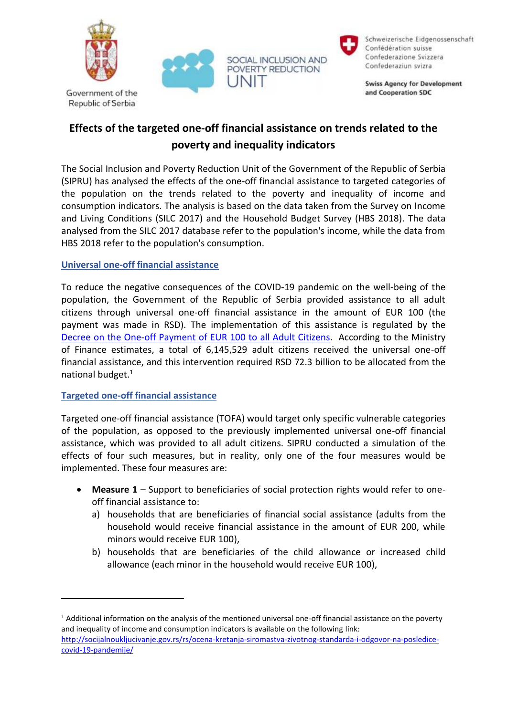







Schweizerische Eidgenossenschaft Confédération suisse Confederazione Svizzera Confederaziun svizra

**Swiss Agency for Development** and Cooperation SDC

## **Effects of the targeted one-off financial assistance on trends related to the poverty and inequality indicators**

The Social Inclusion and Poverty Reduction Unit of the Government of the Republic of Serbia (SIPRU) has analysed the effects of the one-off financial assistance to targeted categories of the population on the trends related to the poverty and inequality of income and consumption indicators. The analysis is based on the data taken from the Survey on Income and Living Conditions (SILC 2017) and the Household Budget Survey (HBS 2018). The data analysed from the SILC 2017 database refer to the population's income, while the data from HBS 2018 refer to the population's consumption.

## **Universal one-off financial assistance**

To reduce the negative consequences of the COVID-19 pandemic on the well-being of the population, the Government of the Republic of Serbia provided assistance to all adult citizens through universal one-off financial assistance in the amount of EUR 100 (the payment was made in RSD). The implementation of this assistance is regulated by the [Decree on the One-off Payment of EUR 100 to all Adult Citizens.](https://www.paragraf.rs/propisi/uredba-o-formiranju-privremenog-registra-i-uplati-novcane-pomoci-drzavljanima.html) According to the Ministry of Finance estimates, a total of 6,145,529 adult citizens received the universal one-off financial assistance, and this intervention required RSD 72.3 billion to be allocated from the national budget. 1

## **Targeted one-off financial assistance**

Targeted one-off financial assistance (TOFA) would target only specific vulnerable categories of the population, as opposed to the previously implemented universal one-off financial assistance, which was provided to all adult citizens. SIPRU conducted a simulation of the effects of four such measures, but in reality, only one of the four measures would be implemented. These four measures are:

- **Measure 1** Support to beneficiaries of social protection rights would refer to oneoff financial assistance to:
	- a) households that are beneficiaries of financial social assistance (adults from the household would receive financial assistance in the amount of EUR 200, while minors would receive EUR 100),
	- b) households that are beneficiaries of the child allowance or increased child allowance (each minor in the household would receive EUR 100),

<sup>&</sup>lt;sup>1</sup> Additional information on the analysis of the mentioned universal one-off financial assistance on the poverty and inequality of income and consumption indicators is available on the following link: [http://socijalnoukljucivanje.gov.rs/rs/ocena-kretanja-siromastva-zivotnog-standarda-i-odgovor-na-posledice](http://socijalnoukljucivanje.gov.rs/rs/ocena-kretanja-siromastva-zivotnog-standarda-i-odgovor-na-posledice-covid-19-pandemije/)[covid-19-pandemije/](http://socijalnoukljucivanje.gov.rs/rs/ocena-kretanja-siromastva-zivotnog-standarda-i-odgovor-na-posledice-covid-19-pandemije/)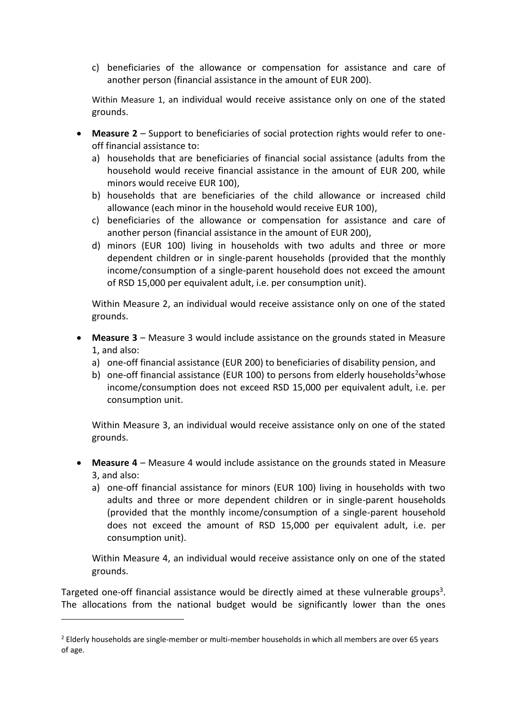c) beneficiaries of the allowance or compensation for assistance and care of another person (financial assistance in the amount of EUR 200).

Within Measure 1, an individual would receive assistance only on one of the stated grounds.

- **Measure 2** Support to beneficiaries of social protection rights would refer to oneoff financial assistance to:
	- a) households that are beneficiaries of financial social assistance (adults from the household would receive financial assistance in the amount of EUR 200, while minors would receive EUR 100),
	- b) households that are beneficiaries of the child allowance or increased child allowance (each minor in the household would receive EUR 100),
	- c) beneficiaries of the allowance or compensation for assistance and care of another person (financial assistance in the amount of EUR 200),
	- d) minors (EUR 100) living in households with two adults and three or more dependent children or in single-parent households (provided that the monthly income/consumption of a single-parent household does not exceed the amount of RSD 15,000 per equivalent adult, i.e. per consumption unit).

Within Measure 2, an individual would receive assistance only on one of the stated grounds.

- **Measure 3** Measure 3 would include assistance on the grounds stated in Measure 1, and also:
	- a) one-off financial assistance (EUR 200) to beneficiaries of disability pension, and
	- b) one-off financial assistance (EUR 100) to persons from elderly households<sup>2</sup>whose income/consumption does not exceed RSD 15,000 per equivalent adult, i.e. per consumption unit.

Within Measure 3, an individual would receive assistance only on one of the stated grounds.

- **Measure 4** Measure 4 would include assistance on the grounds stated in Measure 3, and also:
	- a) one-off financial assistance for minors (EUR 100) living in households with two adults and three or more dependent children or in single-parent households (provided that the monthly income/consumption of a single-parent household does not exceed the amount of RSD 15,000 per equivalent adult, i.e. per consumption unit).

Within Measure 4, an individual would receive assistance only on one of the stated grounds.

Targeted one-off financial assistance would be directly aimed at these vulnerable groups<sup>3</sup>. The allocations from the national budget would be significantly lower than the ones

<sup>&</sup>lt;sup>2</sup> Elderly households are single-member or multi-member households in which all members are over 65 years of age.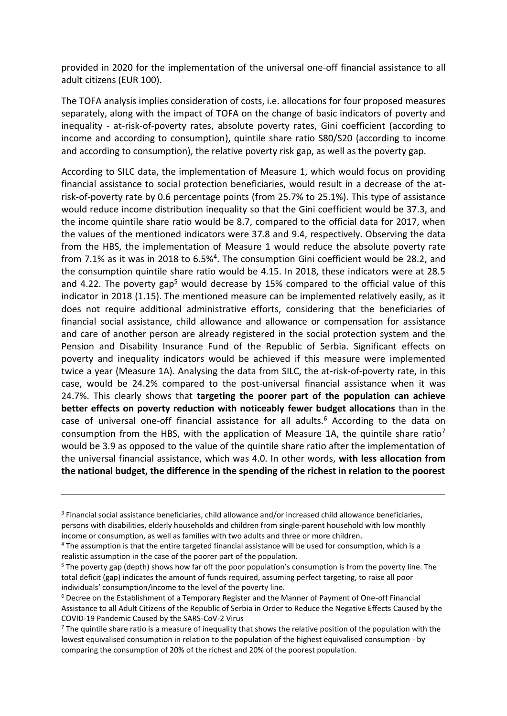provided in 2020 for the implementation of the universal one-off financial assistance to all adult citizens (EUR 100).

The TOFA analysis implies consideration of costs, i.e. allocations for four proposed measures separately, along with the impact of TOFA on the change of basic indicators of poverty and inequality - at-risk-of-poverty rates, absolute poverty rates, Gini coefficient (according to income and according to consumption), quintile share ratio S80/S20 (according to income and according to consumption), the relative poverty risk gap, as well as the poverty gap.

According to SILC data, the implementation of Measure 1, which would focus on providing financial assistance to social protection beneficiaries, would result in a decrease of the atrisk-of-poverty rate by 0.6 percentage points (from 25.7% to 25.1%). This type of assistance would reduce income distribution inequality so that the Gini coefficient would be 37.3, and the income quintile share ratio would be 8.7, compared to the official data for 2017, when the values of the mentioned indicators were 37.8 and 9.4, respectively. Observing the data from the HBS, the implementation of Measure 1 would reduce the absolute poverty rate from 7.1% as it was in 2018 to  $6.5\%$ <sup>4</sup>. The consumption Gini coefficient would be 28.2, and the consumption quintile share ratio would be 4.15. In 2018, these indicators were at 28.5 and 4.22. The poverty gap<sup>5</sup> would decrease by 15% compared to the official value of this indicator in 2018 (1.15). The mentioned measure can be implemented relatively easily, as it does not require additional administrative efforts, considering that the beneficiaries of financial social assistance, child allowance and allowance or compensation for assistance and care of another person are already registered in the social protection system and the Pension and Disability Insurance Fund of the Republic of Serbia. Significant effects on poverty and inequality indicators would be achieved if this measure were implemented twice a year (Measure 1A). Analysing the data from SILC, the at-risk-of-poverty rate, in this case, would be 24.2% compared to the post-universal financial assistance when it was 24.7%. This clearly shows that **targeting the poorer part of the population can achieve better effects on poverty reduction with noticeably fewer budget allocations** than in the case of universal one-off financial assistance for all adults.<sup>6</sup> According to the data on consumption from the HBS, with the application of Measure 1A, the quintile share ratio<sup>7</sup> would be 3.9 as opposed to the value of the quintile share ratio after the implementation of the universal financial assistance, which was 4.0. In other words, **with less allocation from the national budget, the difference in the spending of the richest in relation to the poorest** 

<sup>&</sup>lt;sup>3</sup> Financial social assistance beneficiaries, child allowance and/or increased child allowance beneficiaries, persons with disabilities, elderly households and children from single-parent household with low monthly income or consumption, as well as families with two adults and three or more children.

<sup>4</sup> The assumption is that the entire targeted financial assistance will be used for consumption, which is a realistic assumption in the case of the poorer part of the population.

<sup>&</sup>lt;sup>5</sup> The poverty gap (depth) shows how far off the poor population's consumption is from the poverty line. The total deficit (gap) indicates the amount of funds required, assuming perfect targeting, to raise all poor individuals' consumption/income to the level of the poverty line.

<sup>6</sup> Decree on the Establishment of a Temporary Register and the Manner of Payment of One-off Financial Assistance to all Adult Citizens of the Republic of Serbia in Order to Reduce the Negative Effects Caused by the COVID-19 Pandemic Caused by the SARS-CoV-2 Virus

 $7$  The quintile share ratio is a measure of inequality that shows the relative position of the population with the lowest equivalised consumption in relation to the population of the highest equivalised consumption - by comparing the consumption of 20% of the richest and 20% of the poorest population.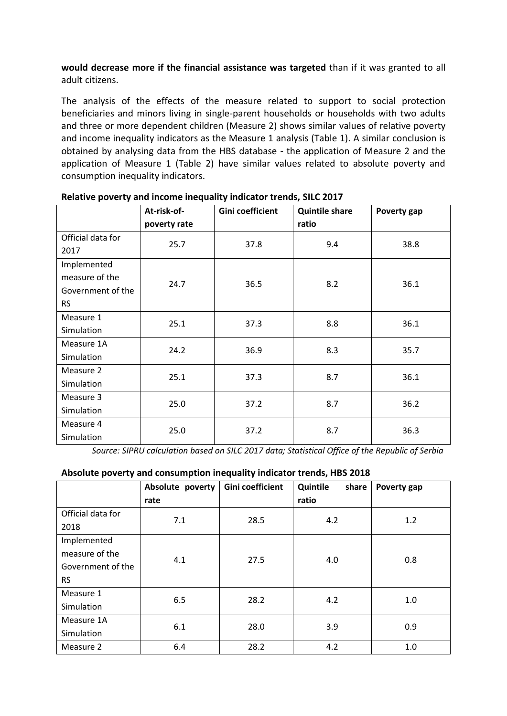**would decrease more if the financial assistance was targeted** than if it was granted to all adult citizens.

The analysis of the effects of the measure related to support to social protection beneficiaries and minors living in single-parent households or households with two adults and three or more dependent children (Measure 2) shows similar values of relative poverty and income inequality indicators as the Measure 1 analysis (Table 1). A similar conclusion is obtained by analysing data from the HBS database - the application of Measure 2 and the application of Measure 1 (Table 2) have similar values related to absolute poverty and consumption inequality indicators.

|                   | At-risk-of-  | Gini coefficient | <b>Quintile share</b> | Poverty gap |
|-------------------|--------------|------------------|-----------------------|-------------|
|                   | poverty rate |                  | ratio                 |             |
| Official data for | 25.7         | 37.8             | 9.4                   | 38.8        |
| 2017              |              |                  |                       |             |
| Implemented       |              |                  |                       |             |
| measure of the    | 24.7         | 36.5             | 8.2                   | 36.1        |
| Government of the |              |                  |                       |             |
| <b>RS</b>         |              |                  |                       |             |
| Measure 1         | 25.1         | 37.3             | 8.8                   | 36.1        |
| Simulation        |              |                  |                       |             |
| Measure 1A        | 24.2         | 36.9             | 8.3                   | 35.7        |
| Simulation        |              |                  |                       |             |
| Measure 2         | 25.1         | 37.3             | 8.7                   | 36.1        |
| Simulation        |              |                  |                       |             |
| Measure 3         | 25.0         | 37.2             | 8.7                   | 36.2        |
| Simulation        |              |                  |                       |             |
| Measure 4         | 25.0         | 37.2             | 8.7                   | 36.3        |
| Simulation        |              |                  |                       |             |

**Relative poverty and income inequality indicator trends, SILC 2017**

*Source: SIPRU calculation based on SILC 2017 data; Statistical Office of the Republic of Serbia*

## **Absolute poverty and consumption inequality indicator trends, HBS 2018**

|                                                                 | Absolute poverty<br>rate | Gini coefficient | Quintile<br>share<br>ratio | Poverty gap |
|-----------------------------------------------------------------|--------------------------|------------------|----------------------------|-------------|
| Official data for<br>2018                                       | 7.1                      | 28.5             | 4.2                        | 1.2         |
| Implemented<br>measure of the<br>Government of the<br><b>RS</b> | 4.1                      | 27.5             | 4.0                        | 0.8         |
| Measure 1<br>Simulation                                         | 6.5                      | 28.2             | 4.2                        | 1.0         |
| Measure 1A<br>Simulation                                        | 6.1                      | 28.0             | 3.9                        | 0.9         |
| Measure 2                                                       | 6.4                      | 28.2             | 4.2                        | 1.0         |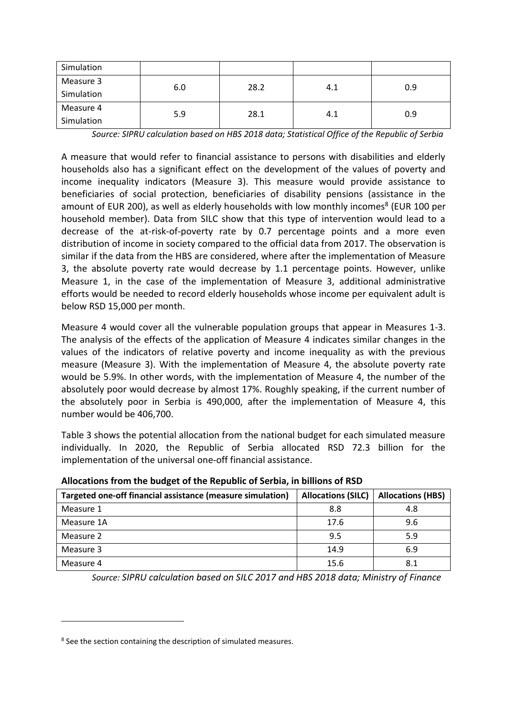| Simulation |     |      |     |     |
|------------|-----|------|-----|-----|
| Measure 3  | 6.0 | 28.2 | 4.1 | 0.9 |
| Simulation |     |      |     |     |
| Measure 4  |     |      |     |     |
| Simulation | 5.9 | 28.1 | 4.1 | 0.9 |

*Source: SIPRU calculation based on HBS 2018 data; Statistical Office of the Republic of Serbia*

A measure that would refer to financial assistance to persons with disabilities and elderly households also has a significant effect on the development of the values of poverty and income inequality indicators (Measure 3). This measure would provide assistance to beneficiaries of social protection, beneficiaries of disability pensions (assistance in the amount of EUR 200), as well as elderly households with low monthly incomes<sup>8</sup> (EUR 100 per household member). Data from SILC show that this type of intervention would lead to a decrease of the at-risk-of-poverty rate by 0.7 percentage points and a more even distribution of income in society compared to the official data from 2017. The observation is similar if the data from the HBS are considered, where after the implementation of Measure 3, the absolute poverty rate would decrease by 1.1 percentage points. However, unlike Measure 1, in the case of the implementation of Measure 3, additional administrative efforts would be needed to record elderly households whose income per equivalent adult is below RSD 15,000 per month.

Measure 4 would cover all the vulnerable population groups that appear in Measures 1-3. The analysis of the effects of the application of Measure 4 indicates similar changes in the values of the indicators of relative poverty and income inequality as with the previous measure (Measure 3). With the implementation of Measure 4, the absolute poverty rate would be 5.9%. In other words, with the implementation of Measure 4, the number of the absolutely poor would decrease by almost 17%. Roughly speaking, if the current number of the absolutely poor in Serbia is 490,000, after the implementation of Measure 4, this number would be 406,700.

Table 3 shows the potential allocation from the national budget for each simulated measure individually. In 2020, the Republic of Serbia allocated RSD 72.3 billion for the implementation of the universal one-off financial assistance.

| Targeted one-off financial assistance (measure simulation) | <b>Allocations (SILC)</b> | <b>Allocations (HBS)</b> |
|------------------------------------------------------------|---------------------------|--------------------------|
| Measure 1                                                  | 8.8                       | 4.8                      |
| Measure 1A                                                 | 17.6                      | 9.6                      |
| Measure 2                                                  | 9.5                       | 5.9                      |
| Measure 3                                                  | 14.9                      | 6.9                      |
| Measure 4                                                  | 15.6                      | 8.1                      |

**Allocations from the budget of the Republic of Serbia, in billions of RSD**

*Source: SIPRU calculation based on SILC 2017 and HBS 2018 data; Ministry of Finance* 

<sup>&</sup>lt;sup>8</sup> See the section containing the description of simulated measures.